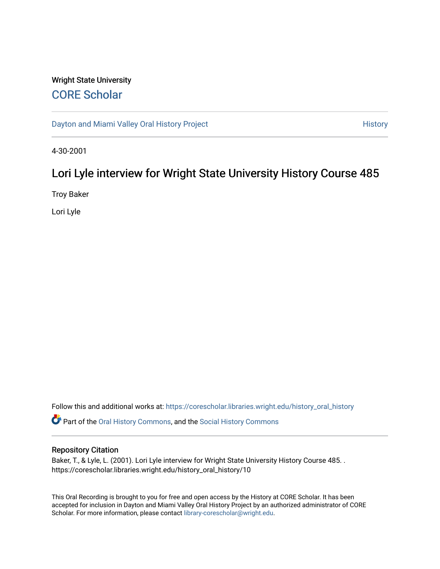# Wright State University [CORE Scholar](https://corescholar.libraries.wright.edu/)

[Dayton and Miami Valley Oral History Project](https://corescholar.libraries.wright.edu/history_oral_history) **History** History

4-30-2001

# Lori Lyle interview for Wright State University History Course 485

Troy Baker

Lori Lyle

Follow this and additional works at: [https://corescholar.libraries.wright.edu/history\\_oral\\_history](https://corescholar.libraries.wright.edu/history_oral_history?utm_source=corescholar.libraries.wright.edu%2Fhistory_oral_history%2F10&utm_medium=PDF&utm_campaign=PDFCoverPages) 

Part of the [Oral History Commons](http://network.bepress.com/hgg/discipline/1195?utm_source=corescholar.libraries.wright.edu%2Fhistory_oral_history%2F10&utm_medium=PDF&utm_campaign=PDFCoverPages), and the [Social History Commons](http://network.bepress.com/hgg/discipline/506?utm_source=corescholar.libraries.wright.edu%2Fhistory_oral_history%2F10&utm_medium=PDF&utm_campaign=PDFCoverPages)

### Repository Citation

Baker, T., & Lyle, L. (2001). Lori Lyle interview for Wright State University History Course 485. . https://corescholar.libraries.wright.edu/history\_oral\_history/10

This Oral Recording is brought to you for free and open access by the History at CORE Scholar. It has been accepted for inclusion in Dayton and Miami Valley Oral History Project by an authorized administrator of CORE Scholar. For more information, please contact [library-corescholar@wright.edu](mailto:library-corescholar@wright.edu).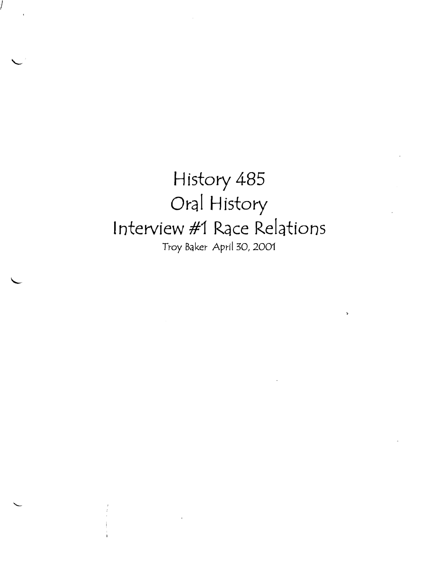History 485 Oral History Interview #1 Race Relations Troy Baker- April 30, 2001

I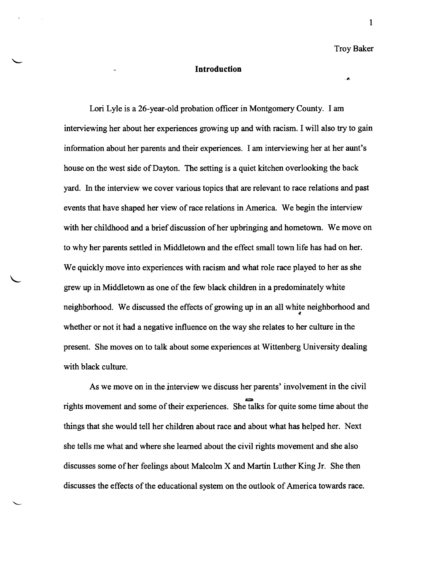Troy Baker

×

1

### **Introduction**

Lori Lyle is a 26-year-old probation officer in Montgomery County. I am interviewing her about her experiences growing up and with racism. I will also try to gain information about her parents and their experiences. I am interviewing her at her aunt's house on the west side of Dayton. The setting is a quiet kitchen overlooking the back yard. In the interview we cover various topics that are relevant to race relations and past events that have shaped her view of race relations in America. We begin the interview with her childhood and a brief discussion of her upbringing and hometown. We move on to why her parents settled in Middletown and the effect small town life has had on her. We quickly move into experiences with racism and what role race played to her as she grew up in Middletown as one ofthe few black children in a predominately white neighborhood. We discussed the effects of growing up in an all white neighborhood and whether or not it had a negative influence on the way she relates to her culture in the present. She moves on to talk about some experiences at Wittenberg University dealing with black culture.

As we move on in the interview we discuss her parents' involvement in the civil rights movement and some of their experiences. She talks for quite some time about the things that she would tell her children about race and about what has helped her. Next she tells me what and where she learned about the civil rights movement and she also discusses some ofher feelings about Malcolm X and Martin Luther King Jr. She then discusses the effects of the educational system on the outlook of America towards race.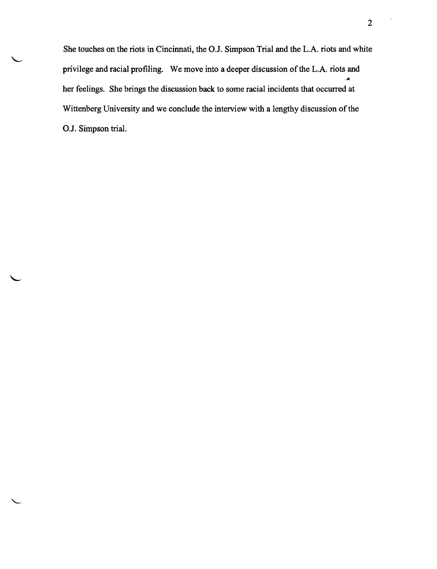She touches on the riots in Cincinnati, the O.J. Simpson Trial and the L.A. riots and white privilege and racial profiling. We move into a deeper discussion of the L.A. riots and Ä. her feelings. She brings the discussion back to some racial incidents that occurred at Wittenberg University and we conclude the interview with a lengthy discussion of the OJ. Simpson trial.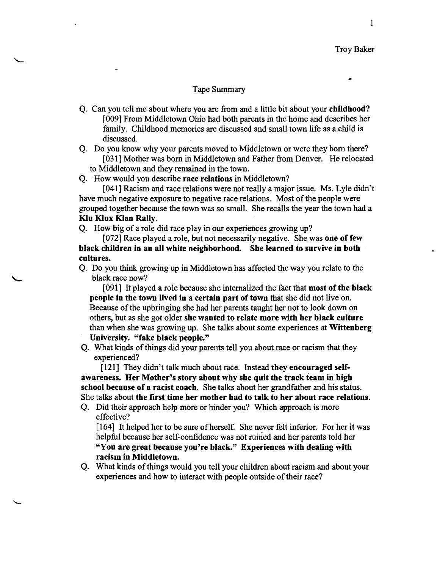Troy Baker

### Tape Summary

- Q. Can you tell me about where you are from and a little bit about your childhood? [009] From Middletown Ohio had both parents in the home and describes her family. Childhood memories are discussed and small town life as a child is discussed.
- Q. Do you know why your parents moved to Middletown or were they born there? [031] Mother was born in Middletown and Father from Denver. He relocated to Middletown and they remained in the town.

Q. How would you describe race relations in Middletown?

[041] Racism and race relations were not really a major issue. Ms. Lyle didn't have much negative exposure to negative race relations. Most of the people were grouped together because the town was so small. She recalls the year the town had a Klu Klux Klan Rally.

Q. How big of a role did race play in our experiences growing up?

[072] Race played a role, but not necessarily negative. She was one of few black children in an all white neighborhood. She learned to survive in both cultures.

Q. Do you think growing up in Middletown has affected the way you relate to the black race now?

[091] It played a role because she internalized the fact that most of the black people in the town lived in a certain part of town that she did not live on. Because of the upbringing she had her parents taught her not to look down on others, but as she got older she wanted to relate more with her black culture than when she was growing up. She talks about some experiences at Wittenberg University. "fake black people."

Q. What kinds ofthings did your parents tell you about race or racism that they experienced?

[121] They didn't talk much about race. Instead they encouraged selfawareness. Her Mother's story about why she quit the track team in high school because of a racist coach. She talks about her grandfather and his status. She talks about the first time her mother had to talk to her about race relations.

Q. Did their approach help more or hinder you? Which approach is more effective?

[164] It helped her to be sure of herself. She never felt inferior. For her it was helpful because her self-confidence was not ruined and her parents told her "You are great because you're black." Experiences with dealing with racism in Middletown.

Q. What kinds of things would you tell your children about racism and about your experiences and how to interact with people outside of their race?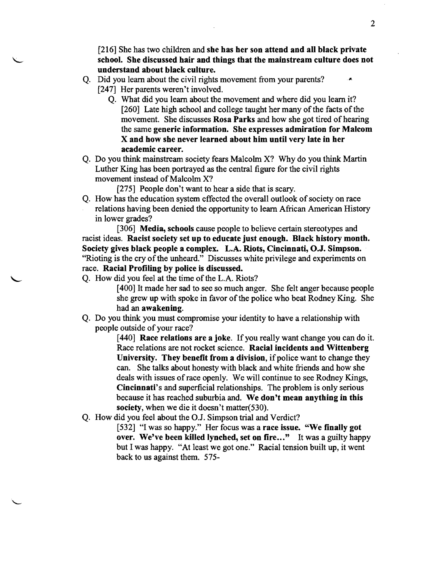[216] She has two children and she has her son attend and all black private school. She discussed hair and things that the mainstream culture does not understand about black culture.

- Q. Did you learn about the civil rights movement from your parents? [247] Her parents weren't involved.
	- Q. What did you learn about the movement and where did you learn it? [260] Late high school and college taught her many of the facts of the movement. She discusses Rosa Parks and how she got tired of hearing the same generic information. She expresses admiration for Malcom X and how she never learned about him until very late in her academic career.
- Q. Do you think mainstream society fears Malcolm X? Why do you think Martin Luther King has been portrayed as the central figure for the civil rights movement instead of Malcolm X?

[275] People don't want to hear a side that is scary.

Q. How has the education system effected the overall outlook of society on race relations having been denied the opportunity to learn African American History in lower grades?

[306] **Media, schools** cause people to believe certain stereotypes and racist ideas. Racist society set up to educate just enough. Black history month. Society gives black people a complex. L.A. Riots, Cincinnati, O.J. Simpson. "Rioting is the cry of the unheard." Discusses white privilege and experiments on race. Racial Profiling by police is discussed.

Q. How did you feel at the time of the L.A. Riots?

[400] It made her sad to see so much anger. She felt anger because people she grew up with spoke in favor of the police who beat Rodney King. She had an awakening.

Q. Do you think you must compromise your identity to have a relationship with people outside of your race?

> [440] Race relations are a joke. If you really want change you can do it. Race relations are not rocket science. Racial incidents and Wittenberg University. They benefit from a division, if police want to change they can. She talks about honesty with black and white friends and how she deals with issues of race openly. We will continue to see Rodney Kings, Cincinnati's and superficial relationships. The problem is only serious because it has reached suburbia and. We don't mean anything in this society, when we die it doesn't matter(530).

Q. How did you feel about the O.J. Simpson trial and Verdict?

[532] "I was so happy." Her focus was a race issue. "We finally got over. We've been killed lynched, set on fire..." It was a guilty happy but I was happy. "At least we got one." Racial tension built up, it went back to us against them. 575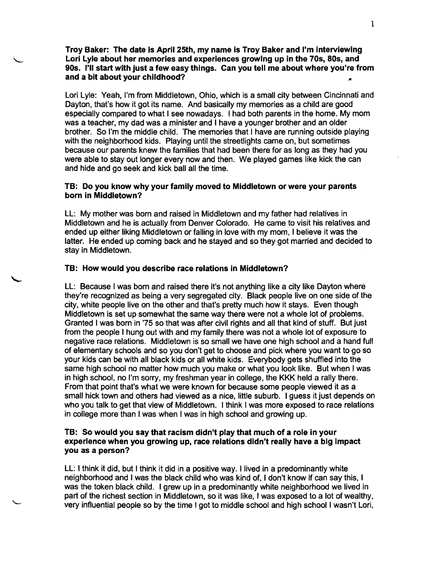Troy Baker: The date is April 25th, my name is Troy Baker and I'm interviewing Lori Lyle about her memories and experiences growing up in the 70s, 80s, and 90s. I'll start with just a few easy things. Can you tell me about where you're from and a bit about your childhood?

Lori Lyle: Yeah, I'm from Middletown, Ohio, which is a small city between Cincinnati and Dayton, that's how it got its name. And basically my memories as a child are good especially compared to what I see nowadays. I had both parents in the home. My mom was a teacher, my dad was a minister and I have a younger brother and an older brother. So I'm the middle child. The memories that I have are running outside playing with the neighborhood kids. Playing until the streetlights came on, but sometimes because our parents knew the families that had been there for as long as they had you were able to stay out longer every now and then. We played games like kick the can and hide and go seek and kick ball all the time.

# TB: Do you know why your family moved to Middletown or were your parents born in Middletown?

LL: My mother was born and raised in Middletown and my father had relatives in Middletown and he is actually from Denver Colorado. He came to visit his relatives and ended up either liking Middletown or falling in love with my mom, I believe it was the latter. He ended up coming back and he stayed and so they got married and decided to stay in Middletown.

### TB: How would you describe race relations in Middletown?

LL: Because I was born and raised there it's not anything like a city like Dayton where they're recognized as being a very segregated city. Black people live on one side of the city, white people live on the other and that's pretty much how it stays. Even though Middletown is set up somewhat the same way there were not a whole lot of problems. Granted I was born in '75 so that was after civil rights and all that kind of stuff. But just from the people I hung out with and my family there was not a whole lot of exposure to negative race relations. Middletown is so small we have one high school and a hand full of elementary schools and so you don't get to choose and pick where you want to go so your kids can be with all black kids or all white kids. Everybody gets shuffled into the same high school no matter how much you make or what you look like. But when I was in high school, no I'm sorry, my freshman year in college, the KKK held a rally there. From that point that's what we were known for because some people viewed it as a small hick town and others had viewed as a nice, little suburb. I guess it just depends on who you talk to get that view of Middletown. I think I was more exposed to race relations in college more than I was when I was in high school and growing up.

### TB: So would you say that racism didn't play that much of a role in your experience when you growing up, race relations didn't really have a big impact you as a person?

LL: I think it did, but I think it did in a positive way. I lived in a predominantly white neighborhood and I was the black child who was kind of, I don't know if can say this, I was the token black child. I grew up in a predominantly white neighborhood we lived in part of the richest section in Middletown, so it was like, I was exposed to a lot of wealthy, very influential people so by the time I got to middle school and high school I wasn't Lori,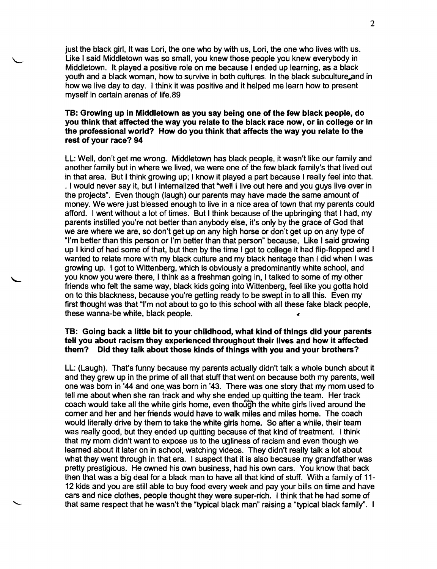just the black girl, It was Lori, the one who by with us, Lori, the one who lives with us. Like I said Middletown was so small, you knew those people you knew everybody in Middletown. Itplayed a positive role on me because I ended up learning, as a black youth and a black woman, how to survive in both cultures. In the black subculture and in how we live day to day. I think it was positive and it helped me learn how to present myself in certain arenas of life.89

# TB: Growing up in Middletown as you say being one of the few black people, do you think that affected the way you relate to the black race now, or in college or in the professional world? How do you think that affects the way you relate to the rest of your race? 94

LL: Well, don't get me wrong. Middletown has black people, it wasn't like our family and another family but in where we lived, we were one of the few black family's that lived out in that area. But I think growing up; I know it played a part because I really feel into that. . I would never say it, but I internalized that "well I live out here and you guys live over in the projects". Even though (laugh) our parents may have made the same amount of money. We were just blessed enough to live in a nice area of town that my parents could afford. I went without a lot of times. But I think because of the upbringing that I had, my parents instilled you're not better than anybody else, it's only by the grace of God that we are where we are, so don't get up on any high horse or don't get up on any type of "I'm better than this person or I'm better than that person" because, Like I said growing up I kind of had some of that, but then by the time I got to college it had flip-flopped and I wanted to relate more with my black culture and my black heritage than I did when I was growing up. I got to Wittenberg, which is obviously a predominantly white school, and you know you were there, I think as a freshman going in, I talked to some of my other friends who felt the same way, black kids going into Wittenberg, feel like you gotta hold on to this blackness, because you're getting ready to be swept in to all this. Even my first thought was that "I'm not about to go to this school with all these fake black people, these wanna-be white, black people.

### TB: Going back a little bit to your childhood, what kind of things did your parents tell you about racism they experienced throughout their lives and how it affected them? Did they talk about those kinds of things with you and your brothers?

LL: (Laugh). That's funny because my parents actually didn't talk a whole bunch about it and they grew up in the prime of all that stuff that went on because both my parents, well one was born in '44 and one was born in '43. There was one story that my mom used to tell me about when she ran track and why she ended up quitting the team. Her track coach would take all the white girls home, even though the white girls lived around the corner and her and her friends would have to walk miles and miles home. The coach would literally drive by them to take the white girls home. So after a while, their team was really good, but they ended up quitting because of that kind of treatment. I think that my mom didn't want to expose us to the ugliness of racism and even though we learned about it later on in school, watching videos. They didn't really talk a lot about what they went through in that era. I suspect that it is also because my grandfather was pretty prestigious. He owned his own business, had his own cars. You know that back then that was a big deal for a black man to have all that kind of stuff. With a family of 11 12 kids and you are still able to buy food every week and pay your bills on time and have cars and nice clothes, people thought they were super.rich. I think that he had some of that same respect that he wasn't the "typical black man" raising a "typical black family". I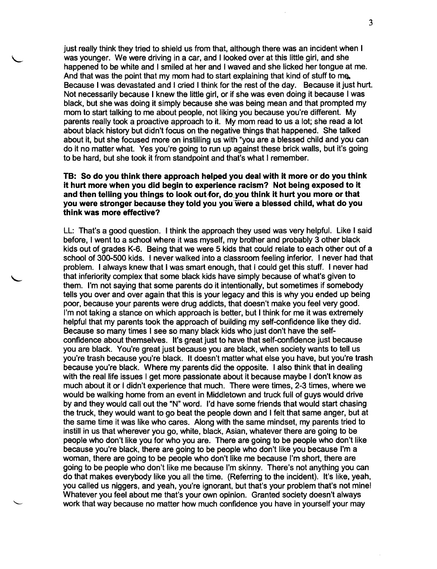just really think they tried to shield us from that, although there was an incident when I was younger. We were driving in a car, and I looked over at this little girl, and she happened to be white and I smiled at her and I waved and she licked her tongue at me. And that was the point that my mom had to start explaining that kind of stuff to me. Because I was devastated and I cried I think for the rest of the day. Because it just hurt. Not necessarily because I knew the little girl, or if she was even doing it because I was black, but she was doing it simply because she was being mean and that prompted my mom to start talking to me about people, not liking you because you're different. My parents really took a proactive approach to it. My mom read to us a lot; she read a lot about black history but didn't focus on the negative things that happened. She talked about it, but she focused more on instilling us with "you are a blessed child and you can do it no matter what. Yes you're going to run up against these brick walls, but it's going to be hard, but she took it from standpoint and that's what I remember.

### **TB: So do you think there approach helped you deal with it more or do you think it hurt more when you did begin to experience racism? Not being exposed to it**  and then telling you things to look out for, do you think it hurt you more or that **you were stronger because they told you you'were a blessed child, what do you think was more effective?**

LL: That's a good question. I think the approach they used was very helpful. Like I said before, I went to a school where it was myself, my brother and probably 3 other black kids out of grades K-6. Being that we were 5 kids that could relate to each other out of a school of 300-500 kids. I never walked into a classroom feeling inferior. I never had that problem. I always knew that I was smart enough, that I could get this stuff. I never had that inferiority complex that some black kids have simply because of what's given to them. I'm not saying that some parents do it intentionally, but sometimes if somebody tells you over and over again that this is your legacy and this is why you ended up being poor, because your parents were drug addicts, that doesn't make you feel very good. I'm not taking a stance on which approach is better, but I think for me it was extremely helpful that my parents took the approach of building my self-confidence like they did. Because so many times I see so many black kids who just don't have the selfconfidence about themselves. It's great just to have that self-confidence just because you are black. You're great just because you are black, when society wants to tell us you're trash because you're black. It doesn't matter what else you have, but you're trash because you're black. Where my parents did the opposite. I also think that in dealing with the real life issues I get more passionate about it because maybe I don't know as much about it or I didn't experience that much. There were times, 2-3 times, where we would be walking home from an event in Middletown and truck full of guys would drive by and they would call out the "N" word. I'd have some friends that would start chasing the truck, they would want to go beat the people down and I felt that same anger, but at the same time it was like who cares. Along with the same mindset, my parents tried to instill in us that wherever you go, white, black, Asian, whatever there are going to be people who don't like you for who you are. There are going to be people who don't like because you're black, there are going to be people who don't like you because I'm a woman, there are going to be people who don't like me because I'm short, there are going to be people who don't like me because I'm skinny. There's not anything you can do that makes everybody like you all the time. (Referring to the incident). It's like, yeah, you called us niggers, and yeah, you're ignorant, but that's your problem that's not mine! Whatever you feel about me that's your own opinion. Granted society doesn't always work that way because no matter how much confidence you have in yourself your may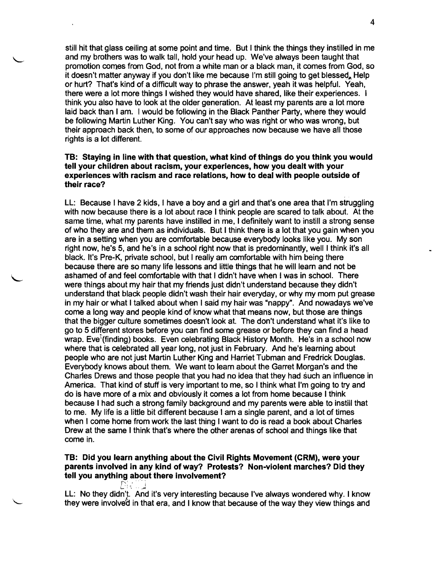still hit that glass ceiling at some point and time. But I think the things they instilled in me and my brothers was to walk tall, hold your head up. We've always been taught that promotion comes from God, not from a white man or a black man, it comes from God, so it doesn't matter anyway if you don't like me because I'm still going to get blessed. Help or hurt? That's kind of a difficult way to phrase the answer, yeah it was helpful. Yeah, there were a lot more things I wished they would have shared, like their experiences. I think you also have to look at the older generation. At least my parents are a lot more laid back than I am. I would be following in the Black Panther Party, where they would be following Martin Luther King. You can't say who was right or who was wrong, but their approach back then, to some of our approaches now because we have all those rights is a lot different.

# TB: Staying in line with that question, what kind of things do you think you would tell your children about racism, your experiences, how you dealt with your experiences with racism and race relations, how to deal with people outside of their race?

LL: Because I have 2 kids, I have a boy and a girl and that's one area that I'm struggling with now because there is a lot about race I think people are scared to talk about. At the same time, what my parents have instilled in me, I definitely want to instill a strong sense of who they are and them as individuals. But I think there is a lot that you gain when you are in a setting when you are comfortable because everybody looks like you. My son right now, he's 5, and he's in a school right now that is predominantly, well I think it's all black. It's Pre-K, private school, but I really am comfortable with him being there because there are so many life lessons and little things that he will learn and not be ashamed of and feel comfortable with that I didn't have when I was in school. There were things about my hair that my friends just didn't understand because they didn't understand that black people didn't wash their hair everyday, or why my mom put grease in my hair or what I talked about when I said my hair was "nappy". And nowadays we've come a long way and people kind of know what that means now, but those are things that the bigger culture sometimes doesn't look at. The don't understand what it's like to go to 5 different stores before you can find some grease or before they can find a head wrap. Eve<sup>f</sup>(finding) books. Even celebrating Black History Month. He's in a school now where that is celebrated all year long, not just in February. And he's learning about people who are not just Martin Luther King and Harriet Tubman and Fredrick Douglas. Everybody knows about them. We want to learn about the Garret Morgan's and the Charles Drews and those people that you had no idea that they had such an influence in America. That kind of stuff is very important to me, so I think what I'm going to try and do is have more of a mix and obviously it comes a lot from home because I think because I had such a strong family background and my parents were able to instill that to me. My life is a little bit different because I am a single parent, and a lot of times when I come home from work the last thing I want to do is read a book about Charles Drew at the same I think that's where the other arenas of school and things like that come in.

# TB: Did you learn anything about the Civil Rights Movement (CRM), were your parents involved in any kind of way? Protests? Non-violent marches? Did they tell you anything ab~ut there involvement? .r~: \_\_ ... ; \.-. '·•••,.-t

LL: No they didn't. And it's very interesting because I've always wondered why. I know they were involved in that era, and I know that because of the way they view things and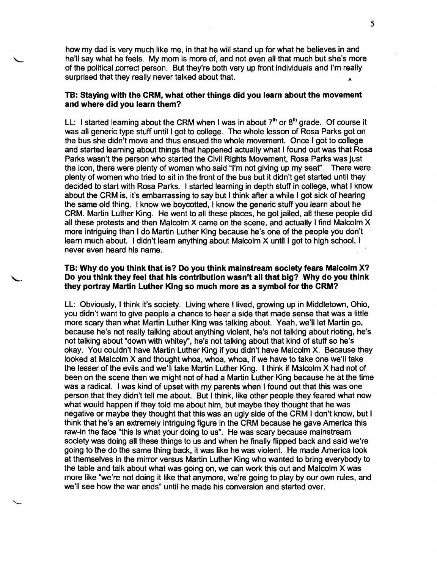how my dad is very much like me, in that he will stand up for what he believes in and he'll say what he feels. My mom is more of, and not even all that much but she's more of the political correct person. But they're both very up front individuals and I'm really surprised that they really never talked about that.

# TB: Staying with the CRM, what other things did you learn about the movement and where did you learn them?

LL: I started learning about the CRM when I was in about  $7<sup>th</sup>$  or  $8<sup>th</sup>$  grade. Of course it was all generic type stuff until I got to college. The whole lesson of Rosa Parks got on the bus she didn't move and thus ensued the whole movement. Once I got to college and started learning about things that happened actually what I found out was that Rosa Parks wasn't the person who started the Civil Rights Movement, Rosa Parks was just the icon, there were plenty of woman who said "I'm not giving up my sear'. There were plenty of women who tried to sit in the front of the bus but it didn't get started until they decided to start with Rosa Parks. I started learning in depth stuff in college, what I know about the CRM is, it's embarrassing to say but I think after a while I got sick of hearing the same old thing. I know we boycotted, I know the generic stuff you learn about he CRM. Martin Luther King. He went to all these places, he got jailed, all these people did all these protests and then Malcolm X came on the scene, and actually I find Malcolm X more intriguing than I do Martin Luther King because he's one of the people you don't learn much about. I didn't learn anything about Malcolm X until I got to high school, I never even heard his name.

# TB: Why do you think that is? Do you think mainstream society fears Malcolm X? Do you think they feel that his contribution wasn't all that big? Why do you think they portray Martin Luther King so much more as a symbol for the CRM?

LL: Obviously, I think it's society. Living where I lived, growing up in Middletown, Ohio, you didn't want to give people a chance to hear a side that made sense that was a little more scary than what Martin Luther King was talking about. Yeah, we'll let Martin go, because he's not really talking about anything violent, he's not talking about rioting, he's not talking about "down with whitey'', he's not talking about that kind of stuff so he's okay. You couldn't have Martin Luther King if you didn't have Malcolm X. Because they looked at Malcolm X and thought whoa, whoa, whoa, if we have to take one we'll take the lesser of the evils and we'll take Martin Luther King. I think if Malcolm X had not of been on the scene then we might not of had a Martin Luther King because he at the time was a radical. I was kind of upset with my parents when I found out that this was one person that they didn't tell me about. But I think, like other people they feared what now what would happen if they told me about him, but maybe they thought that he was negative or maybe they thought that this was an ugly side of the CRM I don't know, but I think that he's an extremely intriguing figure in the CRM because he gave America this raw-in the face "this is what your doing to us". He was scary because mainstream society was doing all these things to us and when he finally flipped back and said we're going to the do the same thing back, it was like he was violent. He made America look at themselves in the mirror versus Martin Luther King who wanted to bring everybody to the table and talk about what was going on, we can work this out and Malcolm X was more like "we're not doing it like that anymore, we're going to play by our own rules, and we'll see how the war ends" until he made his conversion and started over.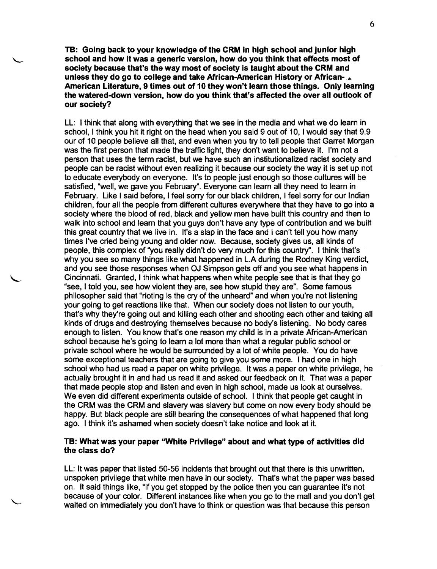TB: Going back to your knowledge of the CRM in high school and junior high school and how it was a generic version, how do you think that effects most of society because that's the way most of society is taught about the CRM and unless they do go to college and take African-American History or African-American Literature, 9 times out of 10 they won't learn those things. Only learning the watered-down version, how do you think that's affected the over all outlook of our society?

LL: I think that along with everything that we see in the media and what we do learn in school, I think you hit it right on the head when you said 9 out of 10, I would say that 9.9 our of 10 people believe all that, and even when you try to tell people that Garret Morgan was the first person that made the traffic light, they don't want to believe it. I'm not a person that uses the term racist, but we have such an institutionalized racist society and people can be racist without even realizing it because our society the way it is set up not to educate everybody on everyone. It's to people just enough so those cultures will be satisfied, "well, we gave you February". Everyone can learn all they need to learn in February. Like I said before, I feel sorry for our black children, I feel sorry for our Indian children, four all the people from different cultures everywhere that they have to go into a society where the blood of red, black and yellow men have built this country and then to walk into school and learn that you guys don't have any type of contribution and we built this great country that we live in. It's a slap in the face and I can't tell you how many times I've cried being young and older now. Because, society gives us, all kinds of people, this complex of "you really didn't do very much for this country". I think that's why you see so many things like what happened in L.A during the Rodney King verdict, and you see those responses when OJ Simpson gets off and you see what happens in Cincinnati. Granted, I think what happens when white people see that is that they go "see, I told you, see how violent they are, see how stupid they are". Some famous philosopher said that "rioting is the cry of the unheard" and when you're not listening your going to get reactions like that. When our society does not listen to our youth, that's why they're going out and killing each other and shooting each other and taking all kinds of drugs and destroying themselves because no body's listening. No body cares enough to listen. You know that's one reason my child is in a private African-American school because he's going to learn a lot more than what a regular public school or private school where he would be surrounded by a lot of white people. You do have some exceptional teachers that are going to give you some more. I had one in high school who had us read a paper on white privilege. It was a paper on white privilege, he actually brought it in and had us read it and asked our feedback on it. That was a paper that made people stop and listen and even in high school, made us look at ourselves. We even did different experiments outside of school. I think that people get caught in the CRM was the CRM and slavery was slavery but come on now every body should be happy. But black people are still bearing the consequences of what happened that long ago. I think it's ashamed when society doesn't take notice and look at it.

### TB: What was your paper "White Privilege" about and what type of activities did the class do?

LL: It was paper that listed 50-56 incidents that brought out that there is this unwritten, unspoken privilege that white men have in our society. That's what the paper was based on. It said things like, "if you get stopped by the police then you can guarantee it's not because of your color. Different instances like when you go to the mall and you don't get waited on immediately you don't have to think or question was that because this person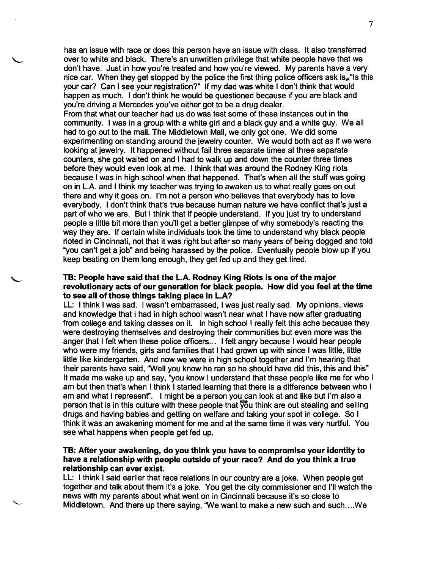has an issue with race or does this person have an issue with class. It also transferred over to white and black. There's an unwritten privilege that white people have that we don't have. Just in how you're treated and how you're viewed. My parents have a very nice car. When they get stopped by the police the first thing police officers ask is, "Is this your car? Can I see your registration?" If my dad was white I don't think that would happen as much. I don't think he would be questioned because if you are black and you're driving a Mercedes you've either got to be a drug dealer.

From that what our teacher had us do was test some of these instances out in the community. I was in a group with a white girl and a black guy and a white guy. We all had to go out to the mall. The Middletown Mall, we only got one. We did some experimenting on standing around the jewelry counter. We would both act as if we were looking at jewelry. It happened without fail three separate times at three separate counters, she got waited on and I had to walk up and down the counter three times before they would even look at me. I think that was around the Rodney King riots because I was in high school when that happened. That's when all the stuff was going on in L.A. and I think my teacher was trying to awaken us to what really goes on out there and why it goes on. I'm not a person who believes that everybody has to love everybody. I don't think that's true because human nature we have conflict that's just a part of who we are. But I think that if people understand. If you just try to understand people a little bit more than you'll get a better glimpse of why somebody's reacting the way they are. If certain white individuals took the time to understand why black people rioted in Cincinnati, not that it was right but after so many years of being dogged and told "you can't get a job" and being harassed by the police. Eventually people blow up if you keep beating on them long enough, they get fed up and they get tired.

### TB: People have said that the L.A. Rodney King Riots is one of the major revolutionary acts of our generation for black people. How did you feel at the time to see all of those things taking place in L.A?

LL: I think I was sad. I wasn't embarrassed, I was just really sad. My opinions, views and knowledge that I had in high school wasn't near what I have now after graduating from college and taking classes on it. In high school I really felt this ache because they were destroying themselves and destroying their communities but even more was the anger that I felt when these police officers... I felt angry because I would hear people who were my friends, girls and families that I had grown up with since I was little, little little like kindergarten. And now we were in high school together and I'm hearing that their parents have said, "Well you know he ran so he should have did this, this and this" It made me wake up and say, "you know I understand that these people like me for who I am but then that's when I think I started learning that there is a difference between who I am and what I represent". I might be a person you can look at and like but I'm also a person that is in this culture with these people that  $\frac{1}{20}u$  think are out stealing and selling drugs and having babies and getting on welfare and taking your spot in college. So I think it was an awakening moment for me and at the same time it was very hurtful. You see what happens when people get fed up.

### TB: After your awakening, do you think you have to compromise your identity to have a relationship with people outside of your race? And do you think a true relationship can ever exist.

LL: I think I said earlier that race relations in our country are a joke. When people get together and talk about them it's a joke. You get the city commissioner and I'll watch the news with my parents about what went on in Cincinnati because it's so close to Middletown. And there up there saying, "We want to make a new such and such .... We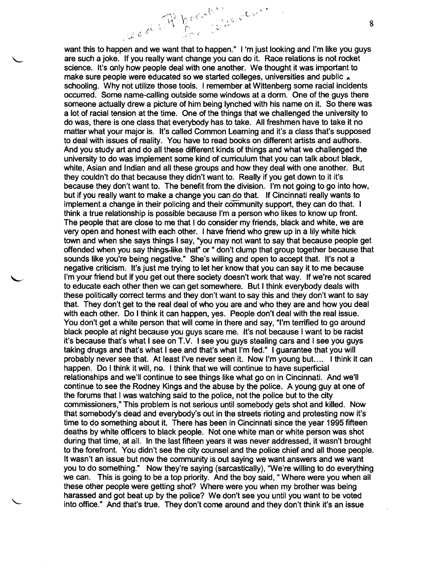Lection P breaking acres want this to happen and we want that to happen." I 'm just looking and I'm like you guys are such a joke. If you really want change you can do it. Race relations is not rocket science. It's only how people deal with one another. We thought it was important to make sure people were educated so we started colleges, universities and public . schooling. Why not utilize those tools. I remember at Wittenberg some racial incidents occurred. Some name-calling outside some windows at a dorm. One of the guys there someone actually drew a picture of him being lynched with his name on it. So there was a lot of racial tension at the time. One of the things that we challenged the university to do was, there is one class that everybody has to take. All freshmen have to take it no matter what your major is. It's called Common Learning and it's a class that's supposed to deal with issues of reality. You have to read books on different artists and authors. And you study art and do all these different kinds of things and what we challenged the university to do was implement some kind of curriculum that you can talk about black, white, Asian and Indian and all these groups and how they deal with one another. But they couldn't do that because they didn't want to. Really if you get down to it it's because they don't want to. The benefit from the division. I'm not going to go into how, but if you really want to make a change you can do that. If Cincinnati really wants to implement a change in their policing and their community support, they can do that. I think a true relationship is possible because I'm a person who likes to know up front. The people that are close to me that I do consider my friends, black and white, we are very open and honest with each other. I have friend who grew up in a lily white hick town and when she says things I say, "you may not want to say that because people get offended when you say things-like that" or " don't clump that group together because that sounds like you're being negative." She's willing and open to accept that. It's not a negative criticism. It's just me trying to let her know that you can say it to me because I'm your friend but if you get out there society doesn't work that way. If we're not scared to educate each other then we can get somewhere. But I think everybody deals with these politically correct terms and they don't want to say this and they don't want to say that. They don't get to the real deal of who you are and who they are and how you deal with each other. Do I think it can happen, yes. People don't deal with the real issue. You don't get a white person that will come in there and say, "I'm terrified to go around black people at night because you guys scare me. It's not because I want to be racist it's because that's what I see on T.V. I see you guys stealing cars and I see you guys taking drugs and that's what I see and that's what I'm fed." I guarantee that you will probably never see that. At least I've never seen it. Now I'm young but.... I think it can happen. Do I think it will, no. I think that we will continue to have superficial relationships and we'll continue to see things like what go on in Cincinnati. And we'll continue to see the Rodney Kings and the abuse by the police. A young guy at one of the forums that I was watching said to the police, not the police but to the city commissioners," This problem is not serious until somebody gets shot and killed. Now that somebody's dead and everybody's out in the streets rioting and protesting now it's time to do something about it. There has been in Cincinnati since the year 1995 fifteen deaths by white officers to black people. Not one white man or white person was shot during that time, at all. In the last fifteen years it was never addressed, it wasn't brought to the forefront. You didn't see the city counsel and the police chief and all those people. It wasn't an issue but now the community is out saying we want answers and we want you to do something." Now they're saying (sarcastically), 'We're willing to do everything we can. This is going to be a top priority. And the boy said, " Where were you when all these other people were getting shot? Where were you when my brother was being harassed and got beat up by the police? We don't see you until you want to be voted into office." And that's true. They don't come around and they don't think it's an issue